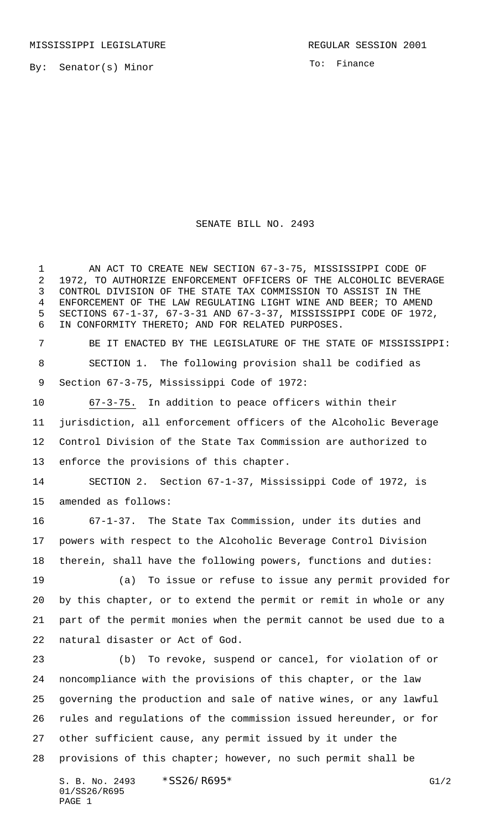By: Senator(s) Minor

To: Finance

## SENATE BILL NO. 2493

 AN ACT TO CREATE NEW SECTION 67-3-75, MISSISSIPPI CODE OF 1972, TO AUTHORIZE ENFORCEMENT OFFICERS OF THE ALCOHOLIC BEVERAGE CONTROL DIVISION OF THE STATE TAX COMMISSION TO ASSIST IN THE ENFORCEMENT OF THE LAW REGULATING LIGHT WINE AND BEER; TO AMEND SECTIONS 67-1-37, 67-3-31 AND 67-3-37, MISSISSIPPI CODE OF 1972, IN CONFORMITY THERETO; AND FOR RELATED PURPOSES.

 BE IT ENACTED BY THE LEGISLATURE OF THE STATE OF MISSISSIPPI: SECTION 1. The following provision shall be codified as Section 67-3-75, Mississippi Code of 1972:

 67-3-75. In addition to peace officers within their jurisdiction, all enforcement officers of the Alcoholic Beverage Control Division of the State Tax Commission are authorized to enforce the provisions of this chapter.

 SECTION 2. Section 67-1-37, Mississippi Code of 1972, is amended as follows:

 67-1-37. The State Tax Commission, under its duties and powers with respect to the Alcoholic Beverage Control Division therein, shall have the following powers, functions and duties:

 (a) To issue or refuse to issue any permit provided for by this chapter, or to extend the permit or remit in whole or any part of the permit monies when the permit cannot be used due to a natural disaster or Act of God.

 (b) To revoke, suspend or cancel, for violation of or noncompliance with the provisions of this chapter, or the law governing the production and sale of native wines, or any lawful rules and regulations of the commission issued hereunder, or for other sufficient cause, any permit issued by it under the provisions of this chapter; however, no such permit shall be

S. B. No. 2493 \* SS26/R695\* G1/2 01/SS26/R695 PAGE 1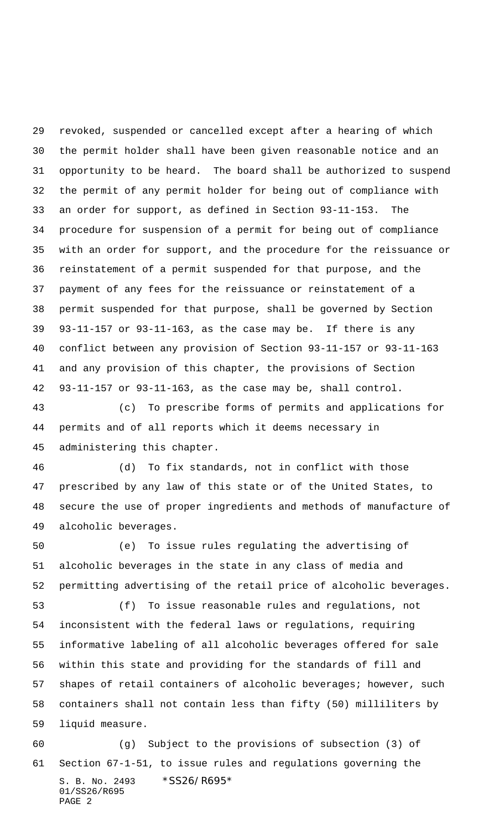revoked, suspended or cancelled except after a hearing of which the permit holder shall have been given reasonable notice and an opportunity to be heard. The board shall be authorized to suspend the permit of any permit holder for being out of compliance with an order for support, as defined in Section 93-11-153. The procedure for suspension of a permit for being out of compliance with an order for support, and the procedure for the reissuance or reinstatement of a permit suspended for that purpose, and the payment of any fees for the reissuance or reinstatement of a permit suspended for that purpose, shall be governed by Section 93-11-157 or 93-11-163, as the case may be. If there is any conflict between any provision of Section 93-11-157 or 93-11-163 and any provision of this chapter, the provisions of Section 93-11-157 or 93-11-163, as the case may be, shall control.

 (c) To prescribe forms of permits and applications for permits and of all reports which it deems necessary in administering this chapter.

 (d) To fix standards, not in conflict with those prescribed by any law of this state or of the United States, to secure the use of proper ingredients and methods of manufacture of alcoholic beverages.

 (e) To issue rules regulating the advertising of alcoholic beverages in the state in any class of media and permitting advertising of the retail price of alcoholic beverages.

 (f) To issue reasonable rules and regulations, not inconsistent with the federal laws or regulations, requiring informative labeling of all alcoholic beverages offered for sale within this state and providing for the standards of fill and shapes of retail containers of alcoholic beverages; however, such containers shall not contain less than fifty (50) milliliters by liquid measure.

S. B. No. 2493 \* SS26/R695\* 01/SS26/R695 PAGE 2 (g) Subject to the provisions of subsection (3) of Section 67-1-51, to issue rules and regulations governing the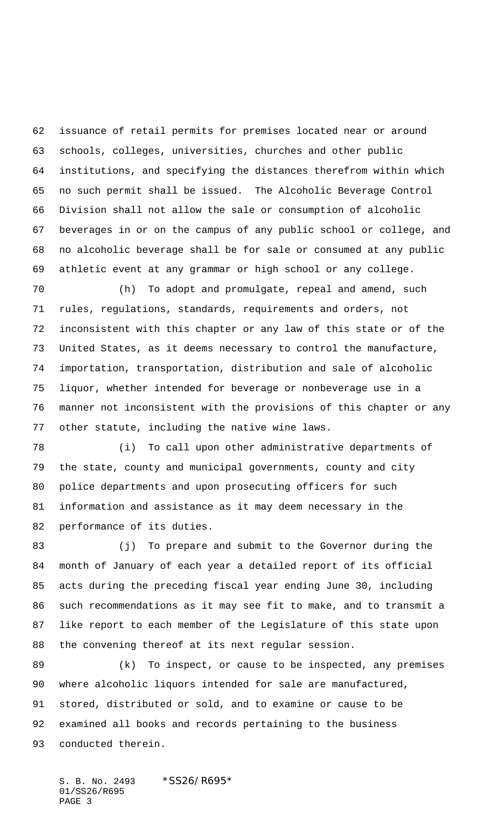issuance of retail permits for premises located near or around schools, colleges, universities, churches and other public institutions, and specifying the distances therefrom within which no such permit shall be issued. The Alcoholic Beverage Control Division shall not allow the sale or consumption of alcoholic beverages in or on the campus of any public school or college, and no alcoholic beverage shall be for sale or consumed at any public athletic event at any grammar or high school or any college.

 (h) To adopt and promulgate, repeal and amend, such rules, regulations, standards, requirements and orders, not inconsistent with this chapter or any law of this state or of the United States, as it deems necessary to control the manufacture, importation, transportation, distribution and sale of alcoholic liquor, whether intended for beverage or nonbeverage use in a manner not inconsistent with the provisions of this chapter or any other statute, including the native wine laws.

 (i) To call upon other administrative departments of the state, county and municipal governments, county and city police departments and upon prosecuting officers for such information and assistance as it may deem necessary in the performance of its duties.

83 (j) To prepare and submit to the Governor during the month of January of each year a detailed report of its official acts during the preceding fiscal year ending June 30, including such recommendations as it may see fit to make, and to transmit a like report to each member of the Legislature of this state upon the convening thereof at its next regular session.

 (k) To inspect, or cause to be inspected, any premises where alcoholic liquors intended for sale are manufactured, stored, distributed or sold, and to examine or cause to be examined all books and records pertaining to the business conducted therein.

S. B. No. 2493 \* SS26/R695\* 01/SS26/R695 PAGE 3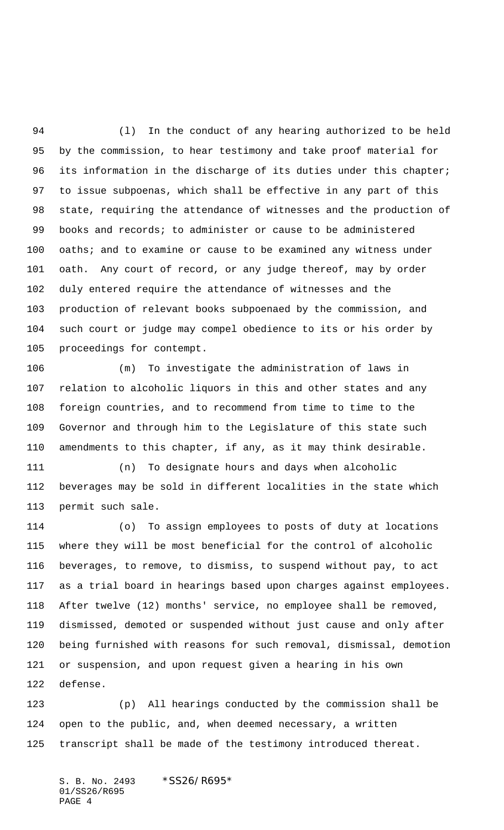(l) In the conduct of any hearing authorized to be held by the commission, to hear testimony and take proof material for its information in the discharge of its duties under this chapter; to issue subpoenas, which shall be effective in any part of this state, requiring the attendance of witnesses and the production of books and records; to administer or cause to be administered 100 oaths; and to examine or cause to be examined any witness under oath. Any court of record, or any judge thereof, may by order duly entered require the attendance of witnesses and the production of relevant books subpoenaed by the commission, and such court or judge may compel obedience to its or his order by proceedings for contempt.

 (m) To investigate the administration of laws in relation to alcoholic liquors in this and other states and any foreign countries, and to recommend from time to time to the Governor and through him to the Legislature of this state such amendments to this chapter, if any, as it may think desirable.

 (n) To designate hours and days when alcoholic beverages may be sold in different localities in the state which permit such sale.

 (o) To assign employees to posts of duty at locations where they will be most beneficial for the control of alcoholic beverages, to remove, to dismiss, to suspend without pay, to act as a trial board in hearings based upon charges against employees. After twelve (12) months' service, no employee shall be removed, dismissed, demoted or suspended without just cause and only after being furnished with reasons for such removal, dismissal, demotion or suspension, and upon request given a hearing in his own defense.

 (p) All hearings conducted by the commission shall be open to the public, and, when deemed necessary, a written transcript shall be made of the testimony introduced thereat.

S. B. No. 2493 \*SS26/R695\* 01/SS26/R695 PAGE 4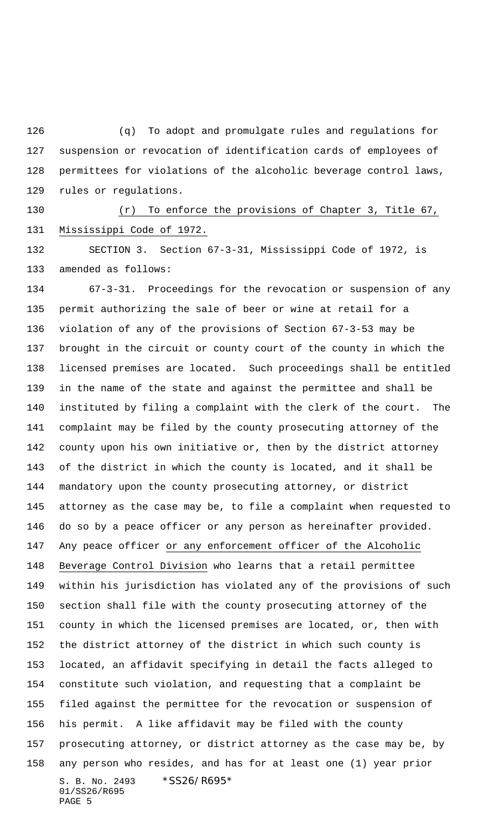(q) To adopt and promulgate rules and regulations for suspension or revocation of identification cards of employees of permittees for violations of the alcoholic beverage control laws, rules or regulations.

 (r) To enforce the provisions of Chapter 3, Title 67, Mississippi Code of 1972.

 SECTION 3. Section 67-3-31, Mississippi Code of 1972, is amended as follows:

S. B. No. 2493 \* SS26/R695\* 01/SS26/R695 PAGE 5 67-3-31. Proceedings for the revocation or suspension of any permit authorizing the sale of beer or wine at retail for a violation of any of the provisions of Section 67-3-53 may be brought in the circuit or county court of the county in which the licensed premises are located. Such proceedings shall be entitled in the name of the state and against the permittee and shall be instituted by filing a complaint with the clerk of the court. The complaint may be filed by the county prosecuting attorney of the county upon his own initiative or, then by the district attorney of the district in which the county is located, and it shall be mandatory upon the county prosecuting attorney, or district attorney as the case may be, to file a complaint when requested to do so by a peace officer or any person as hereinafter provided. Any peace officer or any enforcement officer of the Alcoholic Beverage Control Division who learns that a retail permittee within his jurisdiction has violated any of the provisions of such section shall file with the county prosecuting attorney of the county in which the licensed premises are located, or, then with the district attorney of the district in which such county is located, an affidavit specifying in detail the facts alleged to constitute such violation, and requesting that a complaint be filed against the permittee for the revocation or suspension of his permit. A like affidavit may be filed with the county prosecuting attorney, or district attorney as the case may be, by any person who resides, and has for at least one (1) year prior